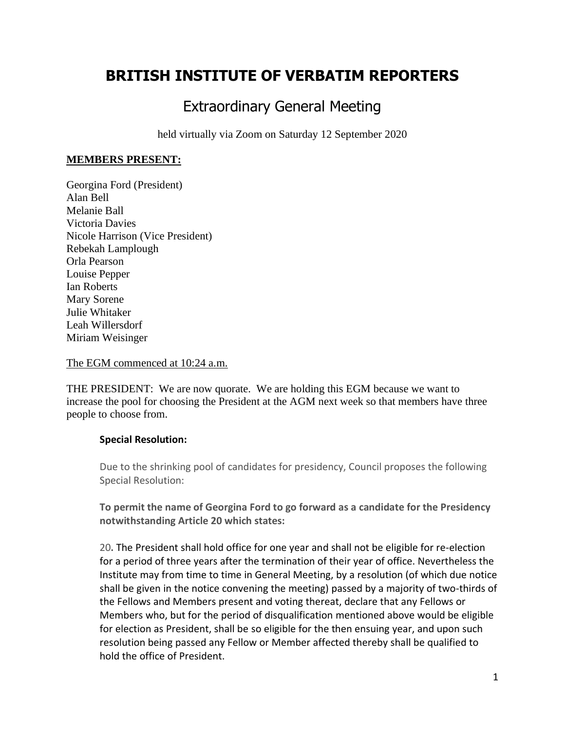# **BRITISH INSTITUTE OF VERBATIM REPORTERS**

## Extraordinary General Meeting

held virtually via Zoom on Saturday 12 September 2020

### **MEMBERS PRESENT:**

Georgina Ford (President) Alan Bell Melanie Ball Victoria Davies Nicole Harrison (Vice President) Rebekah Lamplough Orla Pearson Louise Pepper Ian Roberts Mary Sorene Julie Whitaker Leah Willersdorf Miriam Weisinger

#### The EGM commenced at 10:24 a.m.

THE PRESIDENT: We are now quorate. We are holding this EGM because we want to increase the pool for choosing the President at the AGM next week so that members have three people to choose from.

### **Special Resolution:**

Due to the shrinking pool of candidates for presidency, Council proposes the following Special Resolution:

**To permit the name of Georgina Ford to go forward as a candidate for the Presidency notwithstanding Article 20 which states:**

20**.** The President shall hold office for one year and shall not be eligible for re-election for a period of three years after the termination of their year of office. Nevertheless the Institute may from time to time in General Meeting, by a resolution (of which due notice shall be given in the notice convening the meeting) passed by a majority of two-thirds of the Fellows and Members present and voting thereat, declare that any Fellows or Members who, but for the period of disqualification mentioned above would be eligible for election as President, shall be so eligible for the then ensuing year, and upon such resolution being passed any Fellow or Member affected thereby shall be qualified to hold the office of President.